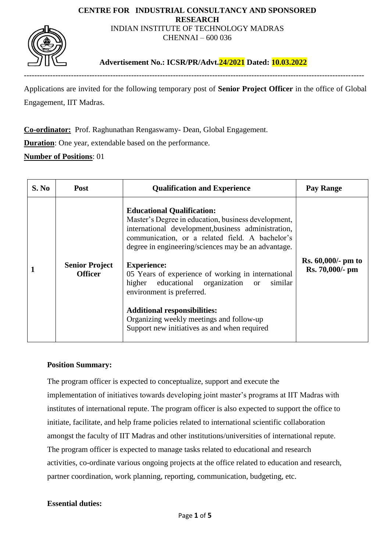#### **CENTRE FOR INDUSTRIAL CONSULTANCY AND SPONSORED RESEARCH** INDIAN INSTITUTE OF TECHNOLOGY MADRAS

CHENNAI – 600 036



**Advertisement No.: ICSR/PR/Advt.24/2021 Dated: 10.03.2022**

----------------------------------------------------------------------------------------------------------------------------------

Applications are invited for the following temporary post of **Senior Project Officer** in the office of Global Engagement, IIT Madras.

**Co-ordinator:** Prof. Raghunathan Rengaswamy- Dean, Global Engagement.

**Duration**: One year, extendable based on the performance.

**Number of Positions**: 01

| S. No | <b>Post</b>                             | <b>Qualification and Experience</b>                                                                                                                                                                                                                                                                                                                                                                                                                                                                                                                       | Pay Range                             |
|-------|-----------------------------------------|-----------------------------------------------------------------------------------------------------------------------------------------------------------------------------------------------------------------------------------------------------------------------------------------------------------------------------------------------------------------------------------------------------------------------------------------------------------------------------------------------------------------------------------------------------------|---------------------------------------|
|       | <b>Senior Project</b><br><b>Officer</b> | <b>Educational Qualification:</b><br>Master's Degree in education, business development,<br>international development, business administration,<br>communication, or a related field. A bachelor's<br>degree in engineering/sciences may be an advantage.<br><b>Experience:</b><br>05 Years of experience of working in international<br>higher<br>educational organization or<br>similar<br>environment is preferred.<br><b>Additional responsibilities:</b><br>Organizing weekly meetings and follow-up<br>Support new initiatives as and when required | Rs. 60,000/- pm to<br>Rs. 70,000/- pm |

### **Position Summary:**

The program officer is expected to conceptualize, support and execute the implementation of initiatives towards developing joint master's programs at IIT Madras with institutes of international repute. The program officer is also expected to support the office to initiate, facilitate, and help frame policies related to international scientific collaboration amongst the faculty of IIT Madras and other institutions/universities of international repute. The program officer is expected to manage tasks related to educational and research activities, co-ordinate various ongoing projects at the office related to education and research, partner coordination, work planning, reporting, communication, budgeting, etc.

### **Essential duties:**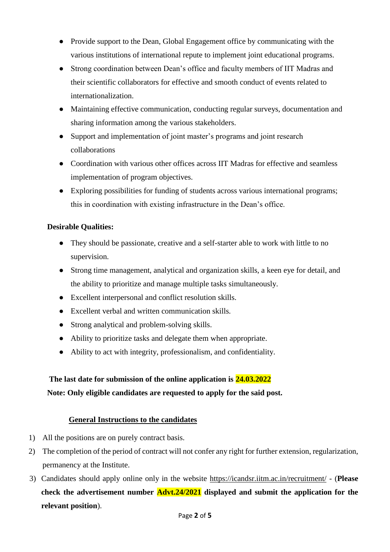- Provide support to the Dean, Global Engagement office by communicating with the various institutions of international repute to implement joint educational programs.
- Strong coordination between Dean's office and faculty members of IIT Madras and their scientific collaborators for effective and smooth conduct of events related to internationalization.
- Maintaining effective communication, conducting regular surveys, documentation and sharing information among the various stakeholders.
- Support and implementation of joint master's programs and joint research collaborations
- Coordination with various other offices across IIT Madras for effective and seamless implementation of program objectives.
- Exploring possibilities for funding of students across various international programs; this in coordination with existing infrastructure in the Dean's office.

## **Desirable Qualities:**

- They should be passionate, creative and a self-starter able to work with little to no supervision.
- Strong time management, analytical and organization skills, a keen eye for detail, and the ability to prioritize and manage multiple tasks simultaneously.
- Excellent interpersonal and conflict resolution skills.
- Excellent verbal and written communication skills.
- Strong analytical and problem-solving skills.
- Ability to prioritize tasks and delegate them when appropriate.
- Ability to act with integrity, professionalism, and confidentiality.

# **The last date for submission of the online application is 24.03.2022 Note: Only eligible candidates are requested to apply for the said post.**

## **General Instructions to the candidates**

- 1) All the positions are on purely contract basis.
- 2) The completion of the period of contract will not confer any right for further extension, regularization, permanency at the Institute.
- 3) Candidates should apply online only in the website<https://icandsr.iitm.ac.in/recruitment/> (**Please check the advertisement number Advt.24/2021 displayed and submit the application for the relevant position**).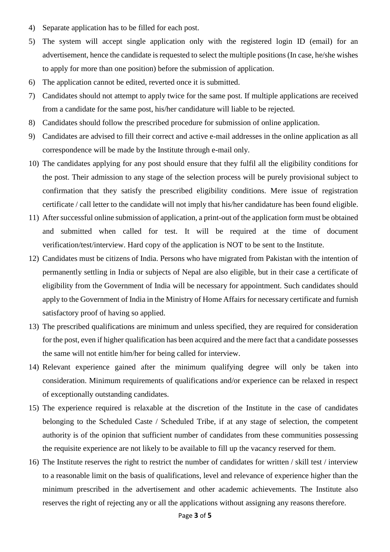- 4) Separate application has to be filled for each post.
- 5) The system will accept single application only with the registered login ID (email) for an advertisement, hence the candidate is requested to select the multiple positions (In case, he/she wishes to apply for more than one position) before the submission of application.
- 6) The application cannot be edited, reverted once it is submitted.
- 7) Candidates should not attempt to apply twice for the same post. If multiple applications are received from a candidate for the same post, his/her candidature will liable to be rejected.
- 8) Candidates should follow the prescribed procedure for submission of online application.
- 9) Candidates are advised to fill their correct and active e-mail addresses in the online application as all correspondence will be made by the Institute through e-mail only.
- 10) The candidates applying for any post should ensure that they fulfil all the eligibility conditions for the post. Their admission to any stage of the selection process will be purely provisional subject to confirmation that they satisfy the prescribed eligibility conditions. Mere issue of registration certificate / call letter to the candidate will not imply that his/her candidature has been found eligible.
- 11) After successful online submission of application, a print-out of the application form must be obtained and submitted when called for test. It will be required at the time of document verification/test/interview. Hard copy of the application is NOT to be sent to the Institute.
- 12) Candidates must be citizens of India. Persons who have migrated from Pakistan with the intention of permanently settling in India or subjects of Nepal are also eligible, but in their case a certificate of eligibility from the Government of India will be necessary for appointment. Such candidates should apply to the Government of India in the Ministry of Home Affairs for necessary certificate and furnish satisfactory proof of having so applied.
- 13) The prescribed qualifications are minimum and unless specified, they are required for consideration for the post, even if higher qualification has been acquired and the mere fact that a candidate possesses the same will not entitle him/her for being called for interview.
- 14) Relevant experience gained after the minimum qualifying degree will only be taken into consideration. Minimum requirements of qualifications and/or experience can be relaxed in respect of exceptionally outstanding candidates.
- 15) The experience required is relaxable at the discretion of the Institute in the case of candidates belonging to the Scheduled Caste / Scheduled Tribe, if at any stage of selection, the competent authority is of the opinion that sufficient number of candidates from these communities possessing the requisite experience are not likely to be available to fill up the vacancy reserved for them.
- 16) The Institute reserves the right to restrict the number of candidates for written / skill test / interview to a reasonable limit on the basis of qualifications, level and relevance of experience higher than the minimum prescribed in the advertisement and other academic achievements. The Institute also reserves the right of rejecting any or all the applications without assigning any reasons therefore.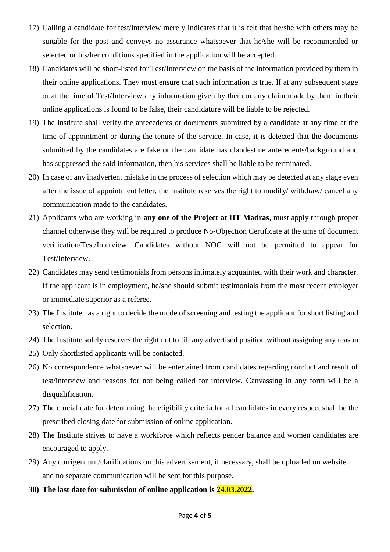- 17) Calling a candidate for test/interview merely indicates that it is felt that he/she with others may be suitable for the post and conveys no assurance whatsoever that he/she will be recommended or selected or his/her conditions specified in the application will be accepted.
- 18) Candidates will be short-listed for Test/Interview on the basis of the information provided by them in their online applications. They must ensure that such information is true. If at any subsequent stage or at the time of Test/Interview any information given by them or any claim made by them in their online applications is found to be false, their candidature will be liable to be rejected.
- 19) The Institute shall verify the antecedents or documents submitted by a candidate at any time at the time of appointment or during the tenure of the service. In case, it is detected that the documents submitted by the candidates are fake or the candidate has clandestine antecedents/background and has suppressed the said information, then his services shall be liable to be terminated.
- 20) In case of any inadvertent mistake in the process of selection which may be detected at any stage even after the issue of appointment letter, the Institute reserves the right to modify/ withdraw/ cancel any communication made to the candidates.
- 21) Applicants who are working in **any one of the Project at IIT Madras**, must apply through proper channel otherwise they will be required to produce No-Objection Certificate at the time of document verification/Test/Interview. Candidates without NOC will not be permitted to appear for Test/Interview.
- 22) Candidates may send testimonials from persons intimately acquainted with their work and character. If the applicant is in employment, he/she should submit testimonials from the most recent employer or immediate superior as a referee.
- 23) The Institute has a right to decide the mode of screening and testing the applicant for short listing and selection.
- 24) The Institute solely reserves the right not to fill any advertised position without assigning any reason
- 25) Only shortlisted applicants will be contacted.
- 26) No correspondence whatsoever will be entertained from candidates regarding conduct and result of test/interview and reasons for not being called for interview. Canvassing in any form will be a disqualification.
- 27) The crucial date for determining the eligibility criteria for all candidates in every respect shall be the prescribed closing date for submission of online application.
- 28) The Institute strives to have a workforce which reflects gender balance and women candidates are encouraged to apply.
- 29) Any corrigendum/clarifications on this advertisement, if necessary, shall be uploaded on website and no separate communication will be sent for this purpose.
- **30) The last date for submission of online application is 24.03.2022.**